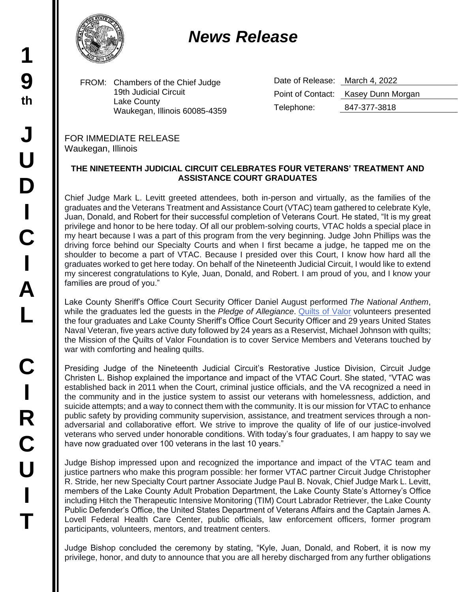## *News Release*

FROM: Chambers of the Chief Judge 19th Judicial Circuit Lake County Waukegan, Illinois 60085-4359 Date of Release: March 4, 2022 Point of Contact: Kasey Dunn Morgan Telephone: 847-377-3818

FOR IMMEDIATE RELEASE Waukegan, Illinois

## **THE NINETEENTH JUDICIAL CIRCUIT CELEBRATES FOUR VETERANS' TREATMENT AND ASSISTANCE COURT GRADUATES**

Chief Judge Mark L. Levitt greeted attendees, both in-person and virtually, as the families of the graduates and the Veterans Treatment and Assistance Court (VTAC) team gathered to celebrate Kyle, Juan, Donald, and Robert for their successful completion of Veterans Court. He stated, "It is my great privilege and honor to be here today. Of all our problem-solving courts, VTAC holds a special place in my heart because I was a part of this program from the very beginning. Judge John Phillips was the driving force behind our Specialty Courts and when I first became a judge, he tapped me on the shoulder to become a part of VTAC. Because I presided over this Court, I know how hard all the graduates worked to get here today. On behalf of the Nineteenth Judicial Circuit, I would like to extend my sincerest congratulations to Kyle, Juan, Donald, and Robert. I am proud of you, and I know your families are proud of you."

Lake County Sheriff's Office Court Security Officer Daniel August performed *The National Anthem*, while the graduates led the guests in the *Pledge of Allegiance*. [Quilts of Valor](https://www.qovf.org/) volunteers presented the four graduates and Lake County Sheriff's Office Court Security Officer and 29 years United States Naval Veteran, five years active duty followed by 24 years as a Reservist, Michael Johnson with quilts; the Mission of the Quilts of Valor Foundation is to cover Service Members and Veterans touched by war with comforting and healing quilts.

Presiding Judge of the Nineteenth Judicial Circuit's Restorative Justice Division, Circuit Judge Christen L. Bishop explained the importance and impact of the VTAC Court. She stated, "VTAC was established back in 2011 when the Court, criminal justice officials, and the VA recognized a need in the community and in the justice system to assist our veterans with homelessness, addiction, and suicide attempts; and a way to connect them with the community. It is our mission for VTAC to enhance public safety by providing community supervision, assistance, and treatment services through a nonadversarial and collaborative effort. We strive to improve the quality of life of our justice-involved veterans who served under honorable conditions. With today's four graduates, I am happy to say we have now graduated over 100 veterans in the last 10 years."

Judge Bishop impressed upon and recognized the importance and impact of the VTAC team and justice partners who make this program possible: her former VTAC partner Circuit Judge Christopher R. Stride, her new Specialty Court partner Associate Judge Paul B. Novak, Chief Judge Mark L. Levitt, members of the Lake County Adult Probation Department, the Lake County State's Attorney's Office including Hitch the Therapeutic Intensive Monitoring (TIM) Court Labrador Retriever, the Lake County Public Defender's Office, the United States Department of Veterans Affairs and the Captain James A. Lovell Federal Health Care Center, public officials, law enforcement officers, former program participants, volunteers, mentors, and treatment centers.

Judge Bishop concluded the ceremony by stating, "Kyle, Juan, Donald, and Robert, it is now my privilege, honor, and duty to announce that you are all hereby discharged from any further obligations